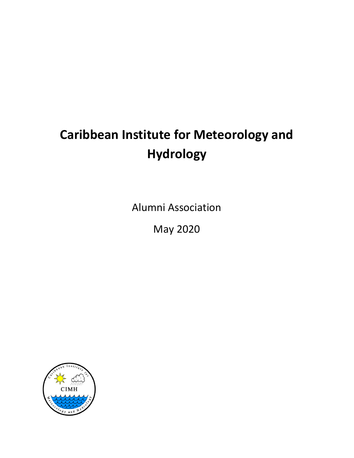# **Caribbean Institute for Meteorology and Hydrology**

Alumni Association

May 2020

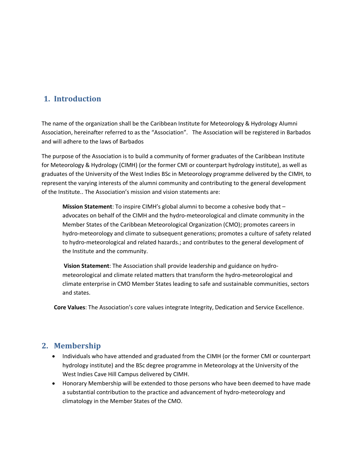# **1. Introduction**

The name of the organization shall be the Caribbean Institute for Meteorology & Hydrology Alumni Association, hereinafter referred to as the "Association". The Association will be registered in Barbados and will adhere to the laws of Barbados

The purpose of the Association is to build a community of former graduates of the Caribbean Institute for Meteorology & Hydrology (CIMH) (or the former CMI or counterpart hydrology institute), as well as graduates of the University of the West Indies BSc in Meteorology programme delivered by the CIMH, to represent the varying interests of the alumni community and contributing to the general development of the Institute.. The Association's mission and vision statements are:

**Mission Statement**: To inspire CIMH's global alumni to become a cohesive body that – advocates on behalf of the CIMH and the hydro-meteorological and climate community in the Member States of the Caribbean Meteorological Organization (CMO); promotes careers in hydro-meteorology and climate to subsequent generations; promotes a culture of safety related to hydro-meteorological and related hazards.; and contributes to the general development of the Institute and the community.

**Vision Statement**: The Association shall provide leadership and guidance on hydrometeorological and climate related matters that transform the hydro-meteorological and climate enterprise in CMO Member States leading to safe and sustainable communities, sectors and states.

**Core Values**: The Association's core values integrate Integrity, Dedication and Service Excellence.

# **2. Membership**

- Individuals who have attended and graduated from the CIMH (or the former CMI or counterpart hydrology institute) and the BSc degree programme in Meteorology at the University of the West Indies Cave Hill Campus delivered by CIMH.
- Honorary Membership will be extended to those persons who have been deemed to have made a substantial contribution to the practice and advancement of hydro-meteorology and climatology in the Member States of the CMO.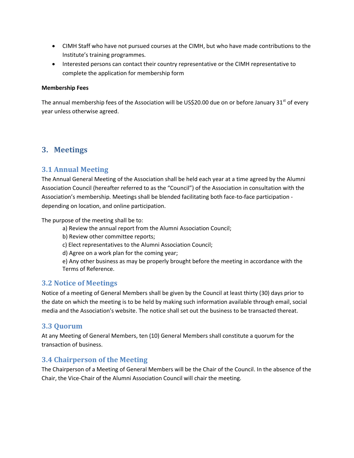- CIMH Staff who have not pursued courses at the CIMH, but who have made contributions to the Institute's training programmes.
- Interested persons can contact their country representative or the CIMH representative to complete the application for membership form

#### **Membership Fees**

The annual membership fees of the Association will be US\$20.00 due on or before January 31<sup>st</sup> of every year unless otherwise agreed.

# **3. Meetings**

## **3.1 Annual Meeting**

The Annual General Meeting of the Association shall be held each year at a time agreed by the Alumni Association Council (hereafter referred to as the "Council") of the Association in consultation with the Association's membership. Meetings shall be blended facilitating both face-to-face participation depending on location, and online participation.

The purpose of the meeting shall be to:

a) Review the annual report from the Alumni Association Council;

b) Review other committee reports;

c) Elect representatives to the Alumni Association Council;

d) Agree on a work plan for the coming year;

e) Any other business as may be properly brought before the meeting in accordance with the Terms of Reference.

## **3.2 Notice of Meetings**

Notice of a meeting of General Members shall be given by the Council at least thirty (30) days prior to the date on which the meeting is to be held by making such information available through email, social media and the Association's website. The notice shall set out the business to be transacted thereat.

## **3.3 Quorum**

At any Meeting of General Members, ten (10) General Members shall constitute a quorum for the transaction of business.

## **3.4 Chairperson of the Meeting**

The Chairperson of a Meeting of General Members will be the Chair of the Council. In the absence of the Chair, the Vice-Chair of the Alumni Association Council will chair the meeting.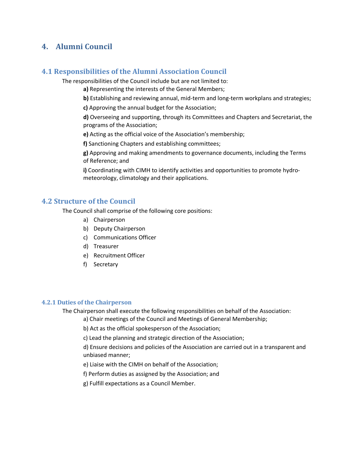# **4. Alumni Council**

## **4.1 Responsibilities of the Alumni Association Council**

The responsibilities of the Council include but are not limited to:

- **a)** Representing the interests of the General Members;
- **b)** Establishing and reviewing annual, mid-term and long-term workplans and strategies;
- **c)** Approving the annual budget for the Association;

**d)** Overseeing and supporting, through its Committees and Chapters and Secretariat, the programs of the Association;

**e)** Acting as the official voice of the Association's membership;

**f)** Sanctioning Chapters and establishing committees;

**g)** Approving and making amendments to governance documents, including the Terms of Reference; and

**i)** Coordinating with CIMH to identify activities and opportunities to promote hydrometeorology, climatology and their applications.

### **4.2 Structure of the Council**

The Council shall comprise of the following core positions:

- a) Chairperson
- b) Deputy Chairperson
- c) Communications Officer
- d) Treasurer
- e) Recruitment Officer
- f) Secretary

#### **4.2.1 Duties of the Chairperson**

The Chairperson shall execute the following responsibilities on behalf of the Association:

- a) Chair meetings of the Council and Meetings of General Membership;
- b) Act as the official spokesperson of the Association;
- c) Lead the planning and strategic direction of the Association;

d) Ensure decisions and policies of the Association are carried out in a transparent and unbiased manner;

- e) Liaise with the CIMH on behalf of the Association;
- f) Perform duties as assigned by the Association; and
- g) Fulfill expectations as a Council Member.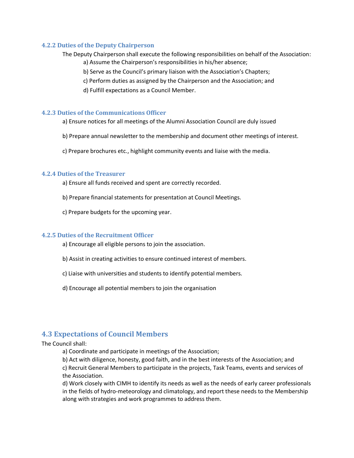#### **4.2.2 Duties of the Deputy Chairperson**

- The Deputy Chairperson shall execute the following responsibilities on behalf of the Association: a) Assume the Chairperson's responsibilities in his/her absence;
	- b) Serve as the Council's primary liaison with the Association's Chapters;
	- c) Perform duties as assigned by the Chairperson and the Association; and
	- d) Fulfill expectations as a Council Member.

#### **4.2.3 Duties of the Communications Officer**

- a) Ensure notices for all meetings of the Alumni Association Council are duly issued
- b) Prepare annual newsletter to the membership and document other meetings of interest.
- c) Prepare brochures etc., highlight community events and liaise with the media.

#### **4.2.4 Duties of the Treasurer**

- a) Ensure all funds received and spent are correctly recorded.
- b) Prepare financial statements for presentation at Council Meetings.
- c) Prepare budgets for the upcoming year.

#### **4.2.5 Duties of the Recruitment Officer**

- a) Encourage all eligible persons to join the association.
- b) Assist in creating activities to ensure continued interest of members.
- c) Liaise with universities and students to identify potential members.
- d) Encourage all potential members to join the organisation

## **4.3 Expectations of Council Members**

#### The Council shall:

a) Coordinate and participate in meetings of the Association;

b) Act with diligence, honesty, good faith, and in the best interests of the Association; and c) Recruit General Members to participate in the projects, Task Teams, events and services of

the Association.

d) Work closely with CIMH to identify its needs as well as the needs of early career professionals in the fields of hydro-meteorology and climatology, and report these needs to the Membership along with strategies and work programmes to address them.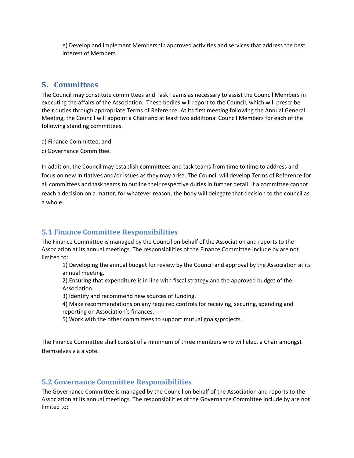e) Develop and implement Membership approved activities and services that address the best interest of Members.

# **5. Committees**

The Council may constitute committees and Task Teams as necessary to assist the Council Members in executing the affairs of the Association. These bodies will report to the Council, which will prescribe their duties through appropriate Terms of Reference. At its first meeting following the Annual General Meeting, the Council will appoint a Chair and at least two additional Council Members for each of the following standing committees.

a) Finance Committee; and

c) Governance Committee.

In addition, the Council may establish committees and task teams from time to time to address and focus on new initiatives and/or issues as they may arise. The Council will develop Terms of Reference for all committees and task teams to outline their respective duties in further detail. If a committee cannot reach a decision on a matter, for whatever reason, the body will delegate that decision to the council as a whole.

# **5.1 Finance Committee Responsibilities**

The Finance Committee is managed by the Council on behalf of the Association and reports to the Association at its annual meetings. The responsibilities of the Finance Committee include by are not limited to:

1) Developing the annual budget for review by the Council and approval by the Association at its annual meeting.

2) Ensuring that expenditure is in line with fiscal strategy and the approved budget of the Association.

3) Identify and recommend new sources of funding.

4) Make recommendations on any required controls for receiving, securing, spending and reporting on Association's finances.

5) Work with the other committees to support mutual goals/projects.

The Finance Committee shall consist of a minimum of three members who will elect a Chair amongst themselves via a vote.

## **5.2 Governance Committee Responsibilities**

The Governance Committee is managed by the Council on behalf of the Association and reports to the Association at its annual meetings. The responsibilities of the Governance Committee include by are not limited to: